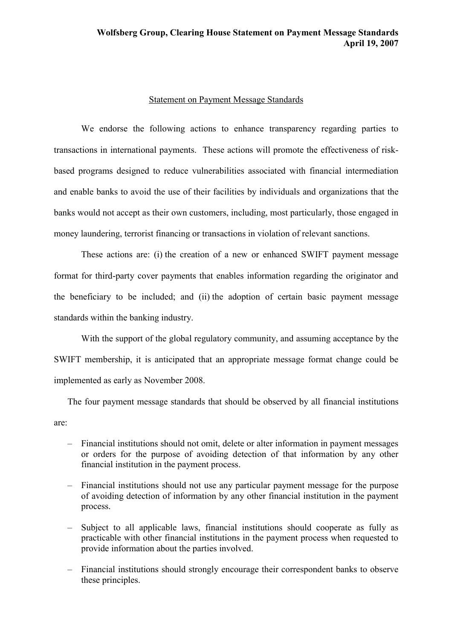## Statement on Payment Message Standards

We endorse the following actions to enhance transparency regarding parties to transactions in international payments. These actions will promote the effectiveness of riskbased programs designed to reduce vulnerabilities associated with financial intermediation and enable banks to avoid the use of their facilities by individuals and organizations that the banks would not accept as their own customers, including, most particularly, those engaged in money laundering, terrorist financing or transactions in violation of relevant sanctions.

These actions are: (i) the creation of a new or enhanced SWIFT payment message format for third-party cover payments that enables information regarding the originator and the beneficiary to be included; and (ii) the adoption of certain basic payment message standards within the banking industry.

With the support of the global regulatory community, and assuming acceptance by the SWIFT membership, it is anticipated that an appropriate message format change could be implemented as early as November 2008.

The four payment message standards that should be observed by all financial institutions are:

- Financial institutions should not omit, delete or alter information in payment messages or orders for the purpose of avoiding detection of that information by any other financial institution in the payment process.
- Financial institutions should not use any particular payment message for the purpose of avoiding detection of information by any other financial institution in the payment process.
- Subject to all applicable laws, financial institutions should cooperate as fully as practicable with other financial institutions in the payment process when requested to provide information about the parties involved.
- Financial institutions should strongly encourage their correspondent banks to observe these principles.